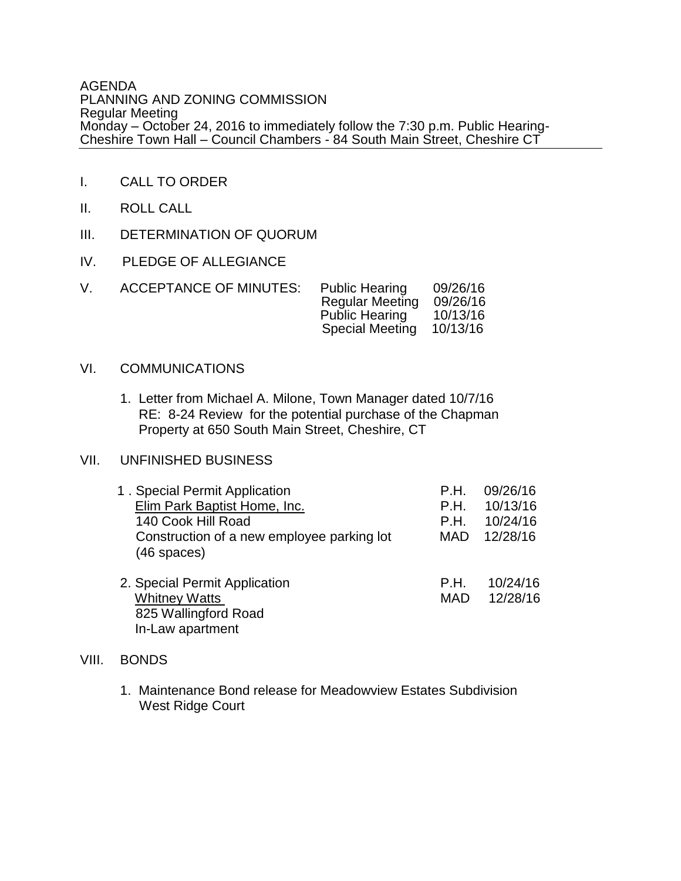#### AGENDA PLANNING AND ZONING COMMISSION Regular Meeting Monday – October 24, 2016 to immediately follow the 7:30 p.m. Public Hearing-Cheshire Town Hall – Council Chambers - 84 South Main Street, Cheshire CT

- I. CALL TO ORDER
- II. ROLL CALL
- III. DETERMINATION OF QUORUM
- IV. PLEDGE OF ALLEGIANCE

| V | <b>ACCEPTANCE OF MINUTES:</b> | <b>Public Hearing</b><br><b>Regular Meeting</b><br><b>Public Hearing</b><br><b>Special Meeting</b> | 09/26/16<br>09/26/16<br>10/13/16<br>10/13/16 |
|---|-------------------------------|----------------------------------------------------------------------------------------------------|----------------------------------------------|
|   |                               |                                                                                                    |                                              |

## VI. COMMUNICATIONS

1. Letter from Michael A. Milone, Town Manager dated 10/7/16 RE: 8-24 Review for the potential purchase of the Chapman Property at 650 South Main Street, Cheshire, CT

### VII. UNFINISHED BUSINESS

| 1. Special Permit Application                               | P.H.       | 09/26/16 |
|-------------------------------------------------------------|------------|----------|
| Elim Park Baptist Home, Inc.                                | P.H.       | 10/13/16 |
| 140 Cook Hill Road                                          | P.H.       | 10/24/16 |
| Construction of a new employee parking lot<br>$(46$ spaces) | <b>MAD</b> | 12/28/16 |
| 2. Special Permit Application                               | P.H.       | 10/24/16 |
| <b>Whitney Watts</b>                                        | <b>MAD</b> | 12/28/16 |
| 825 Wallingford Road                                        |            |          |
| In-Law apartment                                            |            |          |

#### VIII. BONDS

1. Maintenance Bond release for Meadowview Estates Subdivision West Ridge Court